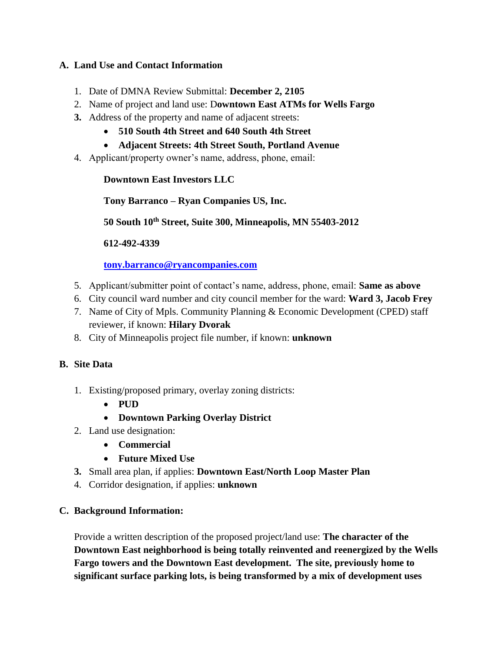### **A. Land Use and Contact Information**

- 1. Date of DMNA Review Submittal: **December 2, 2105**
- 2. Name of project and land use: D**owntown East ATMs for Wells Fargo**
- **3.** Address of the property and name of adjacent streets:
	- **510 South 4th Street and 640 South 4th Street**
	- **Adjacent Streets: 4th Street South, Portland Avenue**
- 4. Applicant/property owner's name, address, phone, email:

## **Downtown East Investors LLC**

**Tony Barranco – Ryan Companies US, Inc.**

**50 South 10th Street, Suite 300, Minneapolis, MN 55403-2012**

**612-492-4339**

### **[tony.barranco@ryancompanies.com](mailto:tony.barranco@ryancompanies.com)**

- 5. Applicant/submitter point of contact's name, address, phone, email: **Same as above**
- 6. City council ward number and city council member for the ward: **Ward 3, Jacob Frey**
- 7. Name of City of Mpls. Community Planning & Economic Development (CPED) staff reviewer, if known: **Hilary Dvorak**
- 8. City of Minneapolis project file number, if known: **unknown**

# **B. Site Data**

- 1. Existing/proposed primary, overlay zoning districts:
	- **PUD**
	- **Downtown Parking Overlay District**
- 2. Land use designation:
	- **Commercial**
	- **Future Mixed Use**
- **3.** Small area plan, if applies: **Downtown East/North Loop Master Plan**
- 4. Corridor designation, if applies: **unknown**

### **C. Background Information:**

Provide a written description of the proposed project/land use: **The character of the Downtown East neighborhood is being totally reinvented and reenergized by the Wells Fargo towers and the Downtown East development. The site, previously home to significant surface parking lots, is being transformed by a mix of development uses**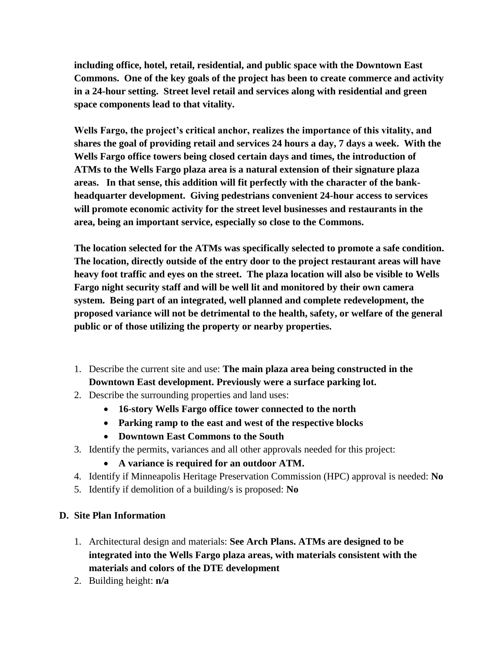**including office, hotel, retail, residential, and public space with the Downtown East Commons. One of the key goals of the project has been to create commerce and activity in a 24-hour setting. Street level retail and services along with residential and green space components lead to that vitality.** 

**Wells Fargo, the project's critical anchor, realizes the importance of this vitality, and shares the goal of providing retail and services 24 hours a day, 7 days a week. With the Wells Fargo office towers being closed certain days and times, the introduction of ATMs to the Wells Fargo plaza area is a natural extension of their signature plaza areas. In that sense, this addition will fit perfectly with the character of the bankheadquarter development. Giving pedestrians convenient 24-hour access to services will promote economic activity for the street level businesses and restaurants in the area, being an important service, especially so close to the Commons.** 

**The location selected for the ATMs was specifically selected to promote a safe condition. The location, directly outside of the entry door to the project restaurant areas will have heavy foot traffic and eyes on the street. The plaza location will also be visible to Wells Fargo night security staff and will be well lit and monitored by their own camera system. Being part of an integrated, well planned and complete redevelopment, the proposed variance will not be detrimental to the health, safety, or welfare of the general public or of those utilizing the property or nearby properties.**

- 1. Describe the current site and use: **The main plaza area being constructed in the Downtown East development. Previously were a surface parking lot.**
- 2. Describe the surrounding properties and land uses:
	- **16-story Wells Fargo office tower connected to the north**
	- **Parking ramp to the east and west of the respective blocks**
	- **Downtown East Commons to the South**
- 3. Identify the permits, variances and all other approvals needed for this project:
	- **A variance is required for an outdoor ATM.**
- 4. Identify if Minneapolis Heritage Preservation Commission (HPC) approval is needed: **No**
- 5. Identify if demolition of a building/s is proposed: **No**

### **D. Site Plan Information**

- 1. Architectural design and materials: **See Arch Plans. ATMs are designed to be integrated into the Wells Fargo plaza areas, with materials consistent with the materials and colors of the DTE development**
- 2. Building height: **n/a**